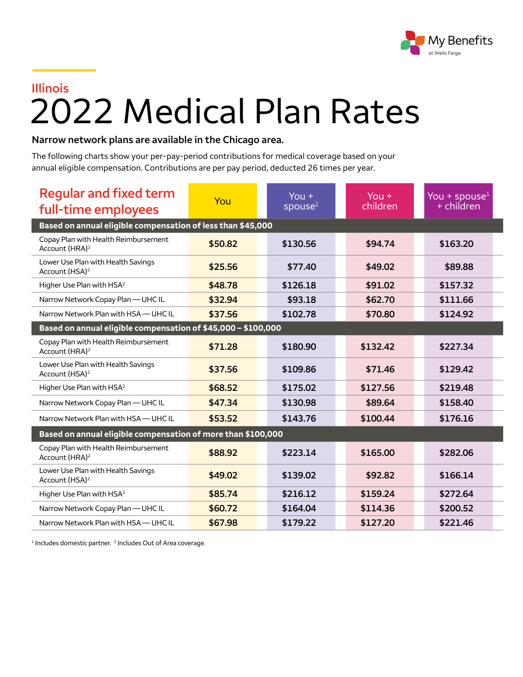

## **Illinois** 2022 Medical Plan Rates

## **Narrow network plans are available in the Chicago area.**

The following charts show your per-pay-period contributions for medical coverage based on your annual eligible compensation. Contributions are per pay period, deducted 26 times per year.

| <b>Regular and fixed term</b><br>full-time employees               | You     | You $+$<br>spouse <sup>1</sup> | You $+$<br>children | You + spouse $1$<br>+ children |  |  |  |
|--------------------------------------------------------------------|---------|--------------------------------|---------------------|--------------------------------|--|--|--|
| Based on annual eligible compensation of less than \$45,000        |         |                                |                     |                                |  |  |  |
| Copay Plan with Health Reimbursement<br>Account (HRA) <sup>2</sup> | \$50.82 | \$130.56                       | \$94.74             | \$163.20                       |  |  |  |
| Lower Use Plan with Health Savings<br>Account (HSA) <sup>2</sup>   | \$25.56 | \$77.40                        | \$49.02             | \$89.88                        |  |  |  |
| Higher Use Plan with HSA <sup>2</sup>                              | \$48.78 | \$126.18                       | \$91.02             | \$157.32                       |  |  |  |
| Narrow Network Copay Plan - UHC IL                                 | \$32.94 | \$93.18                        | \$62.70             | \$111.66                       |  |  |  |
| Narrow Network Plan with HSA - UHC IL                              | \$37.56 | \$102.78                       | \$70.80             | \$124.92                       |  |  |  |
| Based on annual eligible compensation of \$45,000 - \$100,000      |         |                                |                     |                                |  |  |  |
| Copay Plan with Health Reimbursement<br>Account (HRA) <sup>2</sup> | \$71.28 | \$180.90                       | \$132.42            | \$227.34                       |  |  |  |
| Lower Use Plan with Health Savings<br>Account (HSA) <sup>2</sup>   | \$37.56 | \$109.86                       | \$71.46             | \$129.42                       |  |  |  |
| Higher Use Plan with HSA <sup>2</sup>                              | \$68.52 | \$175.02                       | \$127.56            | \$219.48                       |  |  |  |
| Narrow Network Copay Plan - UHC IL                                 | \$47.34 | \$130.98                       | \$89.64             | \$158.40                       |  |  |  |
| Narrow Network Plan with HSA - UHC IL                              | \$53.52 | \$143.76                       | \$100.44            | \$176.16                       |  |  |  |
| Based on annual eligible compensation of more than \$100,000       |         |                                |                     |                                |  |  |  |
| Copay Plan with Health Reimbursement<br>Account (HRA) <sup>2</sup> | \$88.92 | \$223.14                       | \$165.00            | \$282.06                       |  |  |  |
| Lower Use Plan with Health Savings<br>Account (HSA) <sup>2</sup>   | \$49.02 | \$139.02                       | \$92.82             | \$166.14                       |  |  |  |
| Higher Use Plan with HSA <sup>2</sup>                              | \$85.74 | \$216.12                       | \$159.24            | \$272.64                       |  |  |  |
| Narrow Network Copay Plan - UHC IL                                 | \$60.72 | \$164.04                       | \$114.36            | \$200.52                       |  |  |  |
| Narrow Network Plan with HSA - UHC IL                              | \$67.98 | \$179.22                       | \$127.20            | \$221.46                       |  |  |  |

<sup>1</sup> Includes domestic partner. <sup>2</sup> Includes Out of Area coverage.